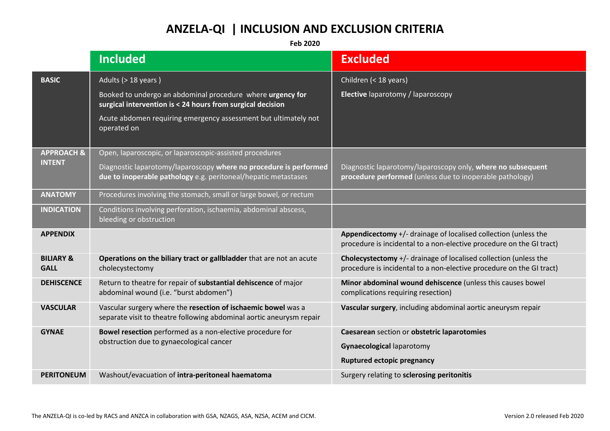## **ANZELA-QI | INCLUSION AND EXCLUSION CRITERIA**

**Feb 2020**

|                                     | <b>Included</b>                                                                                                                       | <b>Excluded</b>                                                                                                                                  |
|-------------------------------------|---------------------------------------------------------------------------------------------------------------------------------------|--------------------------------------------------------------------------------------------------------------------------------------------------|
| <b>BASIC</b>                        | Adults (> 18 years)                                                                                                                   | Children (< 18 years)                                                                                                                            |
|                                     | Booked to undergo an abdominal procedure where urgency for<br>surgical intervention is < 24 hours from surgical decision              | Elective laparotomy / laparoscopy                                                                                                                |
|                                     | Acute abdomen requiring emergency assessment but ultimately not<br>operated on                                                        |                                                                                                                                                  |
| <b>APPROACH &amp;</b>               | Open, laparoscopic, or laparoscopic-assisted procedures                                                                               |                                                                                                                                                  |
| <b>INTENT</b>                       | Diagnostic laparotomy/laparoscopy where no procedure is performed<br>due to inoperable pathology e.g. peritoneal/hepatic metastases   | Diagnostic laparotomy/laparoscopy only, where no subsequent<br>procedure performed (unless due to inoperable pathology)                          |
| <b>ANATOMY</b>                      | Procedures involving the stomach, small or large bowel, or rectum                                                                     |                                                                                                                                                  |
| <b>INDICATION</b>                   | Conditions involving perforation, ischaemia, abdominal abscess,<br>bleeding or obstruction                                            |                                                                                                                                                  |
| <b>APPENDIX</b>                     |                                                                                                                                       | <b>Appendicectomy</b> $+/-$ drainage of localised collection (unless the<br>procedure is incidental to a non-elective procedure on the GI tract) |
| <b>BILIARY &amp;</b><br><b>GALL</b> | Operations on the biliary tract or gallbladder that are not an acute<br>cholecystectomy                                               | Cholecystectomy +/- drainage of localised collection (unless the<br>procedure is incidental to a non-elective procedure on the GI tract)         |
| <b>DEHISCENCE</b>                   | Return to theatre for repair of substantial dehiscence of major<br>abdominal wound (i.e. "burst abdomen")                             | Minor abdominal wound dehiscence (unless this causes bowel<br>complications requiring resection)                                                 |
| <b>VASCULAR</b>                     | Vascular surgery where the resection of ischaemic bowel was a<br>separate visit to theatre following abdominal aortic aneurysm repair | Vascular surgery, including abdominal aortic aneurysm repair                                                                                     |
| <b>GYNAE</b>                        | Bowel resection performed as a non-elective procedure for<br>obstruction due to gynaecological cancer                                 | Caesarean section or obstetric laparotomies<br><b>Gynaecological laparotomy</b>                                                                  |
|                                     |                                                                                                                                       | <b>Ruptured ectopic pregnancy</b>                                                                                                                |
| <b>PERITONEUM</b>                   | Washout/evacuation of intra-peritoneal haematoma                                                                                      | Surgery relating to sclerosing peritonitis                                                                                                       |